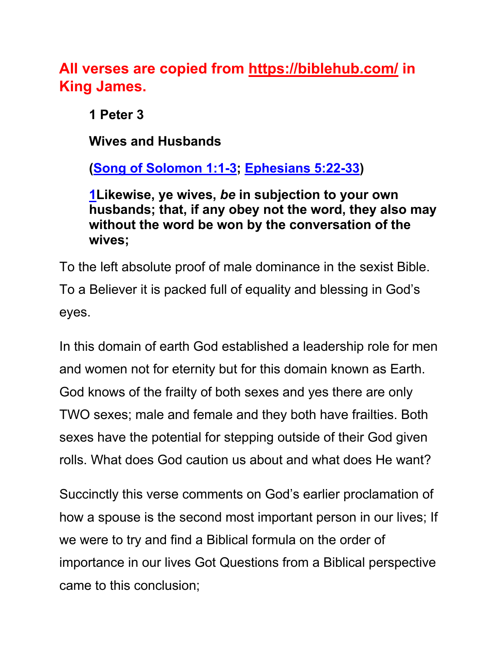**All verses are copied from https://biblehub.com/ in King James.** 

**1 Peter 3**

**Wives and Husbands**

**(Song of Solomon 1:1-3; Ephesians 5:22-33)**

**1Likewise, ye wives,** *be* **in subjection to your own husbands; that, if any obey not the word, they also may without the word be won by the conversation of the wives;**

To the left absolute proof of male dominance in the sexist Bible. To a Believer it is packed full of equality and blessing in God's eyes.

In this domain of earth God established a leadership role for men and women not for eternity but for this domain known as Earth. God knows of the frailty of both sexes and yes there are only TWO sexes; male and female and they both have frailties. Both sexes have the potential for stepping outside of their God given rolls. What does God caution us about and what does He want?

Succinctly this verse comments on God's earlier proclamation of how a spouse is the second most important person in our lives; If we were to try and find a Biblical formula on the order of importance in our lives Got Questions from a Biblical perspective came to this conclusion;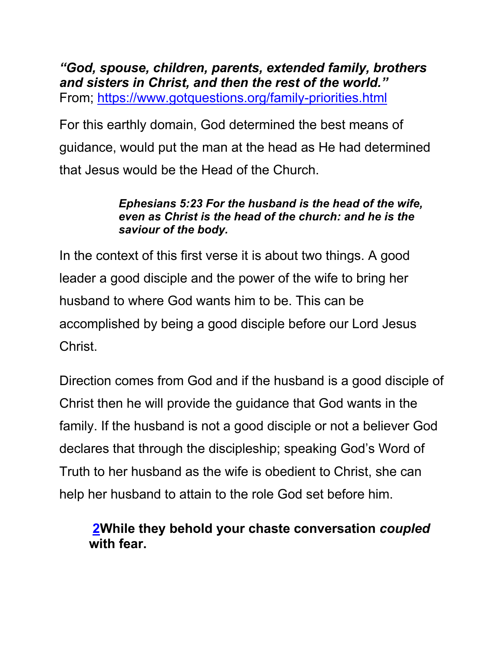*"God, spouse, children, parents, extended family, brothers and sisters in Christ, and then the rest of the world."*  From; https://www.gotquestions.org/family-priorities.html

For this earthly domain, God determined the best means of guidance, would put the man at the head as He had determined that Jesus would be the Head of the Church.

#### *Ephesians 5:23 For the husband is the head of the wife, even as Christ is the head of the church: and he is the saviour of the body.*

In the context of this first verse it is about two things. A good leader a good disciple and the power of the wife to bring her husband to where God wants him to be. This can be accomplished by being a good disciple before our Lord Jesus Christ.

Direction comes from God and if the husband is a good disciple of Christ then he will provide the guidance that God wants in the family. If the husband is not a good disciple or not a believer God declares that through the discipleship; speaking God's Word of Truth to her husband as the wife is obedient to Christ, she can help her husband to attain to the role God set before him.

**2While they behold your chaste conversation** *coupled* **with fear.**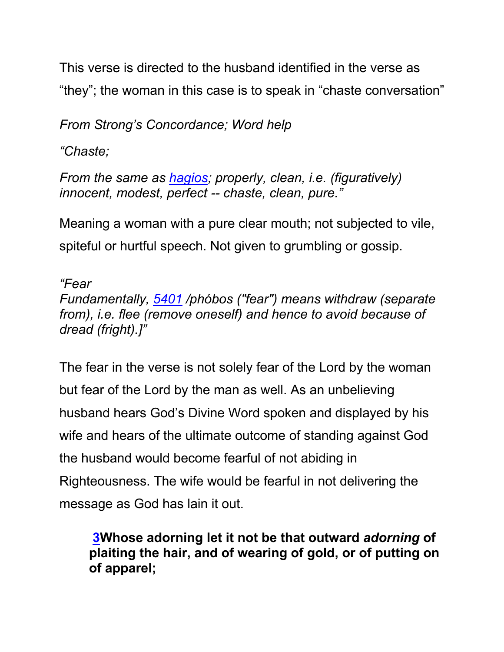This verse is directed to the husband identified in the verse as "they"; the woman in this case is to speak in "chaste conversation"

*From Strong's Concordance; Word help*

*"Chaste;*

*From the same as hagios; properly, clean, i.e. (figuratively) innocent, modest, perfect -- chaste, clean, pure."*

Meaning a woman with a pure clear mouth; not subjected to vile, spiteful or hurtful speech. Not given to grumbling or gossip.

*"Fear Fundamentally, 5401 /phóbos ("fear") means withdraw (separate from), i.e. flee (remove oneself) and hence to avoid because of dread (fright).]"*

The fear in the verse is not solely fear of the Lord by the woman but fear of the Lord by the man as well. As an unbelieving husband hears God's Divine Word spoken and displayed by his wife and hears of the ultimate outcome of standing against God the husband would become fearful of not abiding in Righteousness. The wife would be fearful in not delivering the message as God has lain it out.

**3Whose adorning let it not be that outward** *adorning* **of plaiting the hair, and of wearing of gold, or of putting on of apparel;**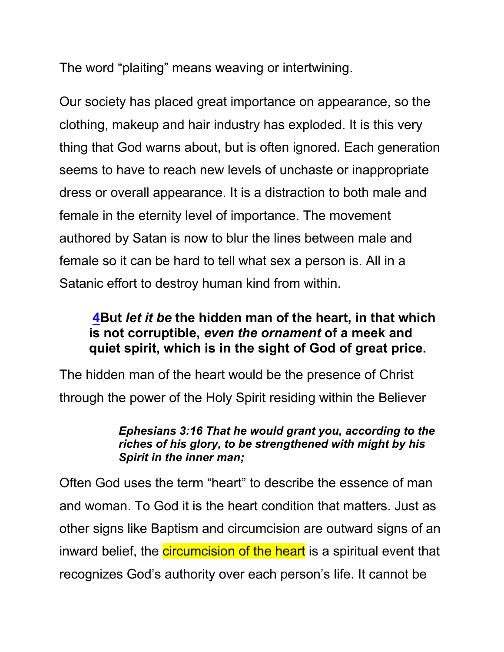The word "plaiting" means weaving or intertwining.

Our society has placed great importance on appearance, so the clothing, makeup and hair industry has exploded. It is this very thing that God warns about, but is often ignored. Each generation seems to have to reach new levels of unchaste or inappropriate dress or overall appearance. It is a distraction to both male and female in the eternity level of importance. The movement authored by Satan is now to blur the lines between male and female so it can be hard to tell what sex a person is. All in a Satanic effort to destroy human kind from within.

### **4But** *let it be* **the hidden man of the heart, in that which is not corruptible,** *even the ornament* **of a meek and quiet spirit, which is in the sight of God of great price.**

The hidden man of the heart would be the presence of Christ through the power of the Holy Spirit residing within the Believer

#### *Ephesians 3:16 That he would grant you, according to the riches of his glory, to be strengthened with might by his Spirit in the inner man;*

Often God uses the term "heart" to describe the essence of man and woman. To God it is the heart condition that matters. Just as other signs like Baptism and circumcision are outward signs of an inward belief, the **circumcision of the heart** is a spiritual event that recognizes God's authority over each person's life. It cannot be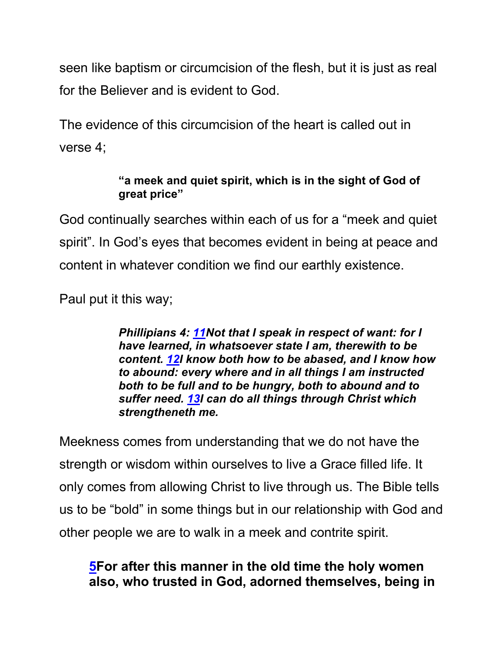seen like baptism or circumcision of the flesh, but it is just as real for the Believer and is evident to God.

The evidence of this circumcision of the heart is called out in verse 4;

#### **"a meek and quiet spirit, which is in the sight of God of great price"**

God continually searches within each of us for a "meek and quiet spirit". In God's eyes that becomes evident in being at peace and content in whatever condition we find our earthly existence.

Paul put it this way;

*Phillipians 4: 11Not that I speak in respect of want: for I have learned, in whatsoever state I am, therewith to be content. 12I know both how to be abased, and I know how to abound: every where and in all things I am instructed both to be full and to be hungry, both to abound and to suffer need. 13I can do all things through Christ which strengtheneth me.*

Meekness comes from understanding that we do not have the strength or wisdom within ourselves to live a Grace filled life. It only comes from allowing Christ to live through us. The Bible tells us to be "bold" in some things but in our relationship with God and other people we are to walk in a meek and contrite spirit.

### **5For after this manner in the old time the holy women also, who trusted in God, adorned themselves, being in**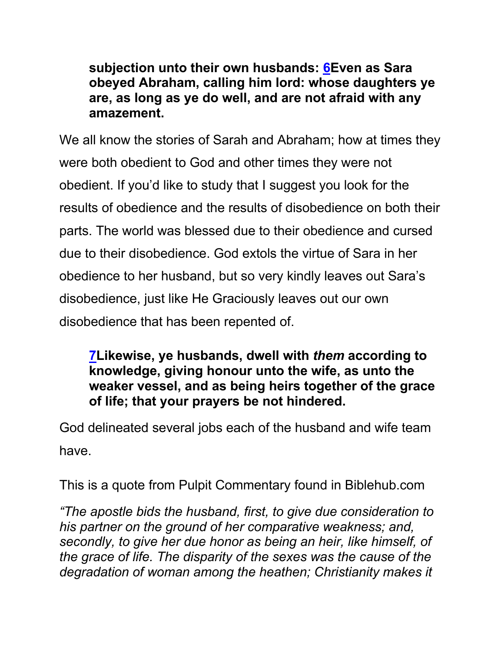**subjection unto their own husbands: 6Even as Sara obeyed Abraham, calling him lord: whose daughters ye are, as long as ye do well, and are not afraid with any amazement.**

We all know the stories of Sarah and Abraham; how at times they were both obedient to God and other times they were not obedient. If you'd like to study that I suggest you look for the results of obedience and the results of disobedience on both their parts. The world was blessed due to their obedience and cursed due to their disobedience. God extols the virtue of Sara in her obedience to her husband, but so very kindly leaves out Sara's disobedience, just like He Graciously leaves out our own disobedience that has been repented of.

### **7Likewise, ye husbands, dwell with** *them* **according to knowledge, giving honour unto the wife, as unto the weaker vessel, and as being heirs together of the grace of life; that your prayers be not hindered.**

God delineated several jobs each of the husband and wife team have.

This is a quote from Pulpit Commentary found in Biblehub.com

*"The apostle bids the husband, first, to give due consideration to his partner on the ground of her comparative weakness; and, secondly, to give her due honor as being an heir, like himself, of the grace of life. The disparity of the sexes was the cause of the degradation of woman among the heathen; Christianity makes it*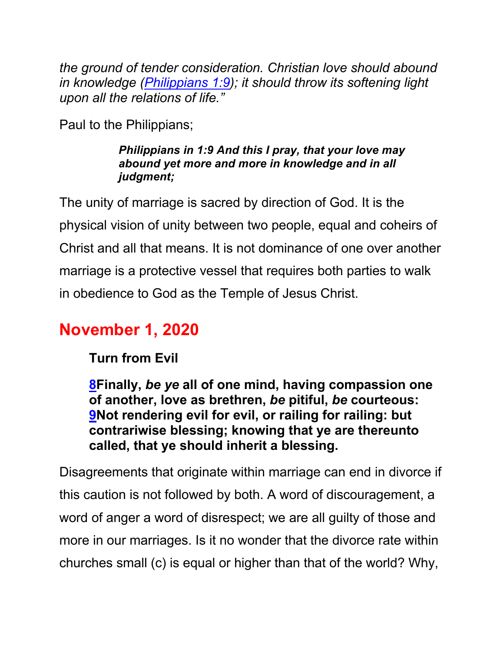*the ground of tender consideration. Christian love should abound in knowledge (Philippians 1:9); it should throw its softening light upon all the relations of life."*

Paul to the Philippians;

#### *Philippians in 1:9 And this I pray, that your love may abound yet more and more in knowledge and in all judgment;*

The unity of marriage is sacred by direction of God. It is the physical vision of unity between two people, equal and coheirs of Christ and all that means. It is not dominance of one over another marriage is a protective vessel that requires both parties to walk in obedience to God as the Temple of Jesus Christ.

# **November 1, 2020**

**Turn from Evil**

**8Finally,** *be ye* **all of one mind, having compassion one of another, love as brethren,** *be* **pitiful,** *be* **courteous: 9Not rendering evil for evil, or railing for railing: but contrariwise blessing; knowing that ye are thereunto called, that ye should inherit a blessing.**

Disagreements that originate within marriage can end in divorce if this caution is not followed by both. A word of discouragement, a word of anger a word of disrespect; we are all guilty of those and more in our marriages. Is it no wonder that the divorce rate within churches small (c) is equal or higher than that of the world? Why,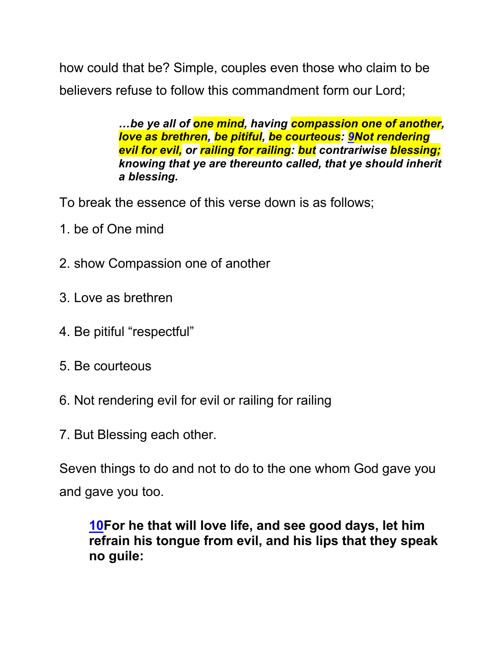how could that be? Simple, couples even those who claim to be believers refuse to follow this commandment form our Lord;

> *…be ye all of one mind, having compassion one of another, love as brethren, be pitiful, be courteous: 9Not rendering evil for evil, or railing for railing: but contrariwise blessing; knowing that ye are thereunto called, that ye should inherit a blessing.*

To break the essence of this verse down is as follows;

- 1. be of One mind
- 2. show Compassion one of another
- 3. Love as brethren
- 4. Be pitiful "respectful"
- 5. Be courteous
- 6. Not rendering evil for evil or railing for railing
- 7. But Blessing each other.

Seven things to do and not to do to the one whom God gave you and gave you too.

**10For he that will love life, and see good days, let him refrain his tongue from evil, and his lips that they speak no guile:**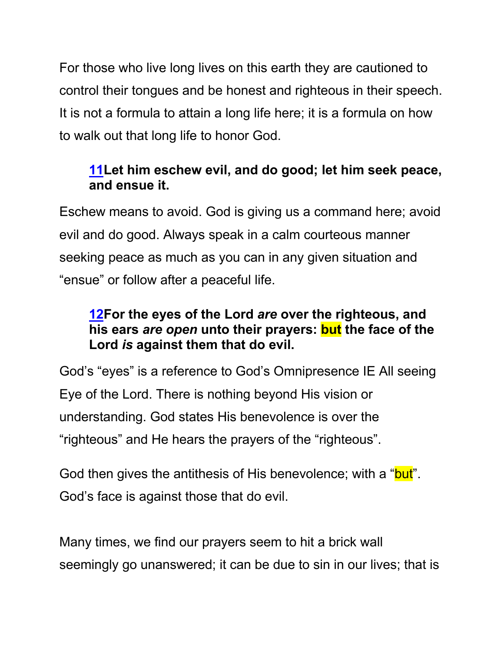For those who live long lives on this earth they are cautioned to control their tongues and be honest and righteous in their speech. It is not a formula to attain a long life here; it is a formula on how to walk out that long life to honor God.

### **11Let him eschew evil, and do good; let him seek peace, and ensue it.**

Eschew means to avoid. God is giving us a command here; avoid evil and do good. Always speak in a calm courteous manner seeking peace as much as you can in any given situation and "ensue" or follow after a peaceful life.

### **12For the eyes of the Lord** *are* **over the righteous, and his ears** *are open* **unto their prayers: but the face of the Lord** *is* **against them that do evil.**

God's "eyes" is a reference to God's Omnipresence IE All seeing Eye of the Lord. There is nothing beyond His vision or understanding. God states His benevolence is over the "righteous" and He hears the prayers of the "righteous".

God then gives the antithesis of His benevolence; with a "but". God's face is against those that do evil.

Many times, we find our prayers seem to hit a brick wall seemingly go unanswered; it can be due to sin in our lives; that is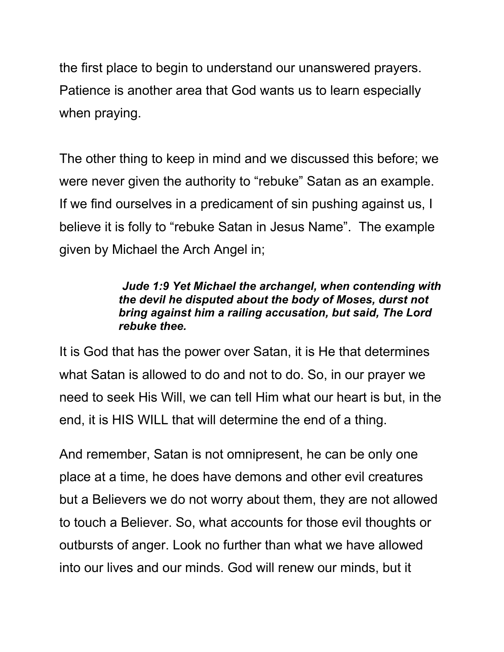the first place to begin to understand our unanswered prayers. Patience is another area that God wants us to learn especially when praying.

The other thing to keep in mind and we discussed this before; we were never given the authority to "rebuke" Satan as an example. If we find ourselves in a predicament of sin pushing against us, I believe it is folly to "rebuke Satan in Jesus Name". The example given by Michael the Arch Angel in;

#### *Jude 1:9 Yet Michael the archangel, when contending with the devil he disputed about the body of Moses, durst not bring against him a railing accusation, but said, The Lord rebuke thee.*

It is God that has the power over Satan, it is He that determines what Satan is allowed to do and not to do. So, in our prayer we need to seek His Will, we can tell Him what our heart is but, in the end, it is HIS WILL that will determine the end of a thing.

And remember, Satan is not omnipresent, he can be only one place at a time, he does have demons and other evil creatures but a Believers we do not worry about them, they are not allowed to touch a Believer. So, what accounts for those evil thoughts or outbursts of anger. Look no further than what we have allowed into our lives and our minds. God will renew our minds, but it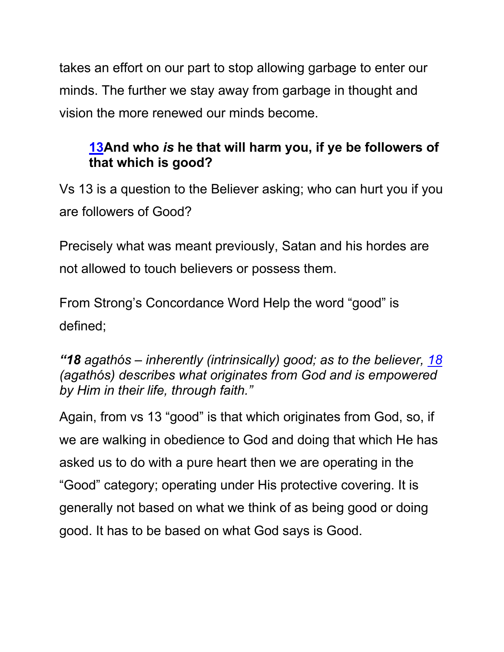takes an effort on our part to stop allowing garbage to enter our minds. The further we stay away from garbage in thought and vision the more renewed our minds become.

### **13And who** *is* **he that will harm you, if ye be followers of that which is good?**

Vs 13 is a question to the Believer asking; who can hurt you if you are followers of Good?

Precisely what was meant previously, Satan and his hordes are not allowed to touch believers or possess them.

From Strong's Concordance Word Help the word "good" is defined;

*"18 agathós – inherently (intrinsically) good; as to the believer, 18 (agathós) describes what originates from God and is empowered by Him in their life, through faith."*

Again, from vs 13 "good" is that which originates from God, so, if we are walking in obedience to God and doing that which He has asked us to do with a pure heart then we are operating in the "Good" category; operating under His protective covering. It is generally not based on what we think of as being good or doing good. It has to be based on what God says is Good.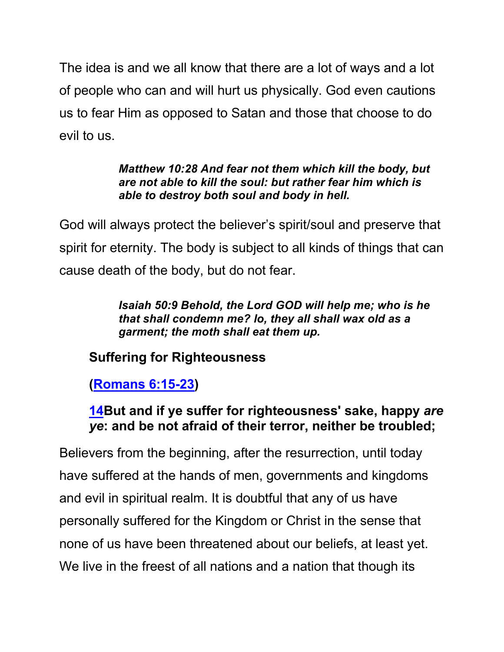The idea is and we all know that there are a lot of ways and a lot of people who can and will hurt us physically. God even cautions us to fear Him as opposed to Satan and those that choose to do evil to us.

#### *Matthew 10:28 And fear not them which kill the body, but are not able to kill the soul: but rather fear him which is able to destroy both soul and body in hell.*

God will always protect the believer's spirit/soul and preserve that spirit for eternity. The body is subject to all kinds of things that can cause death of the body, but do not fear.

> *Isaiah 50:9 Behold, the Lord GOD will help me; who is he that shall condemn me? lo, they all shall wax old as a garment; the moth shall eat them up.*

## **Suffering for Righteousness**

### **(Romans 6:15-23)**

### **14But and if ye suffer for righteousness' sake, happy** *are ye***: and be not afraid of their terror, neither be troubled;**

Believers from the beginning, after the resurrection, until today have suffered at the hands of men, governments and kingdoms and evil in spiritual realm. It is doubtful that any of us have personally suffered for the Kingdom or Christ in the sense that none of us have been threatened about our beliefs, at least yet. We live in the freest of all nations and a nation that though its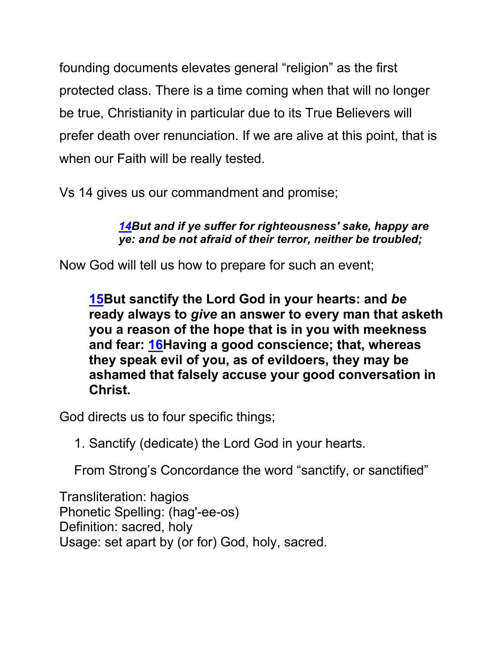founding documents elevates general "religion" as the first protected class. There is a time coming when that will no longer be true, Christianity in particular due to its True Believers will prefer death over renunciation. If we are alive at this point, that is when our Faith will be really tested.

Vs 14 gives us our commandment and promise;

*14But and if ye suffer for righteousness' sake, happy are ye: and be not afraid of their terror, neither be troubled;* 

Now God will tell us how to prepare for such an event;

**15But sanctify the Lord God in your hearts: and** *be* **ready always to** *give* **an answer to every man that asketh you a reason of the hope that is in you with meekness and fear: 16Having a good conscience; that, whereas they speak evil of you, as of evildoers, they may be ashamed that falsely accuse your good conversation in Christ.**

God directs us to four specific things;

1. Sanctify (dedicate) the Lord God in your hearts.

From Strong's Concordance the word "sanctify, or sanctified"

Transliteration: hagios Phonetic Spelling: (hag'-ee-os) Definition: sacred, holy Usage: set apart by (or for) God, holy, sacred.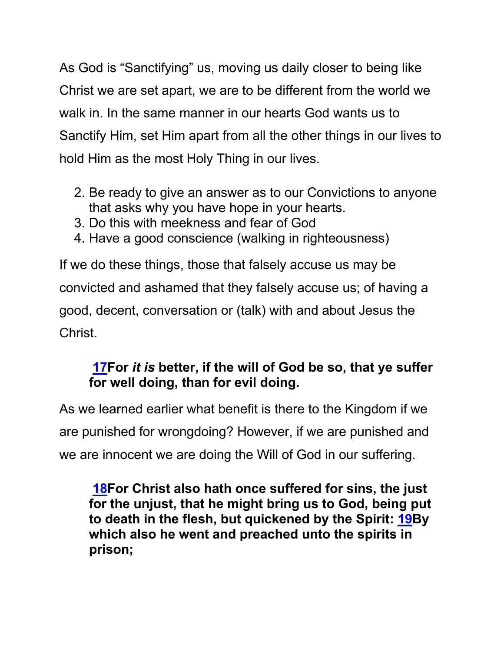As God is "Sanctifying" us, moving us daily closer to being like Christ we are set apart, we are to be different from the world we walk in. In the same manner in our hearts God wants us to Sanctify Him, set Him apart from all the other things in our lives to hold Him as the most Holy Thing in our lives.

- 2. Be ready to give an answer as to our Convictions to anyone that asks why you have hope in your hearts.
- 3. Do this with meekness and fear of God
- 4. Have a good conscience (walking in righteousness)

If we do these things, those that falsely accuse us may be convicted and ashamed that they falsely accuse us; of having a good, decent, conversation or (talk) with and about Jesus the Christ.

### **17For** *it is* **better, if the will of God be so, that ye suffer for well doing, than for evil doing.**

As we learned earlier what benefit is there to the Kingdom if we are punished for wrongdoing? However, if we are punished and we are innocent we are doing the Will of God in our suffering.

**18For Christ also hath once suffered for sins, the just for the unjust, that he might bring us to God, being put to death in the flesh, but quickened by the Spirit: 19By which also he went and preached unto the spirits in prison;**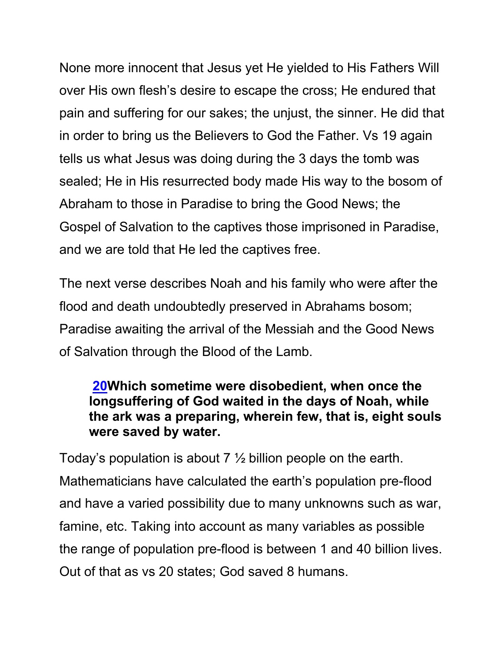None more innocent that Jesus yet He yielded to His Fathers Will over His own flesh's desire to escape the cross; He endured that pain and suffering for our sakes; the unjust, the sinner. He did that in order to bring us the Believers to God the Father. Vs 19 again tells us what Jesus was doing during the 3 days the tomb was sealed; He in His resurrected body made His way to the bosom of Abraham to those in Paradise to bring the Good News; the Gospel of Salvation to the captives those imprisoned in Paradise, and we are told that He led the captives free.

The next verse describes Noah and his family who were after the flood and death undoubtedly preserved in Abrahams bosom; Paradise awaiting the arrival of the Messiah and the Good News of Salvation through the Blood of the Lamb.

### **20Which sometime were disobedient, when once the longsuffering of God waited in the days of Noah, while the ark was a preparing, wherein few, that is, eight souls were saved by water.**

Today's population is about 7 ½ billion people on the earth. Mathematicians have calculated the earth's population pre-flood and have a varied possibility due to many unknowns such as war, famine, etc. Taking into account as many variables as possible the range of population pre-flood is between 1 and 40 billion lives. Out of that as vs 20 states; God saved 8 humans.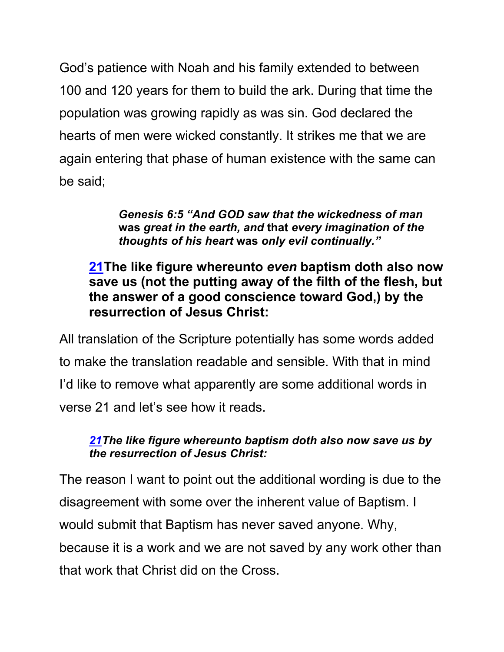God's patience with Noah and his family extended to between 100 and 120 years for them to build the ark. During that time the population was growing rapidly as was sin. God declared the hearts of men were wicked constantly. It strikes me that we are again entering that phase of human existence with the same can be said;

> *Genesis 6:5 "And GOD saw that the wickedness of man*  **was** *great in the earth, and* **that** *every imagination of the thoughts of his heart* **was** *only evil continually."*

### **21The like figure whereunto** *even* **baptism doth also now save us (not the putting away of the filth of the flesh, but the answer of a good conscience toward God,) by the resurrection of Jesus Christ:**

All translation of the Scripture potentially has some words added to make the translation readable and sensible. With that in mind I'd like to remove what apparently are some additional words in verse 21 and let's see how it reads.

#### *21The like figure whereunto baptism doth also now save us by the resurrection of Jesus Christ:*

The reason I want to point out the additional wording is due to the disagreement with some over the inherent value of Baptism. I would submit that Baptism has never saved anyone. Why, because it is a work and we are not saved by any work other than that work that Christ did on the Cross.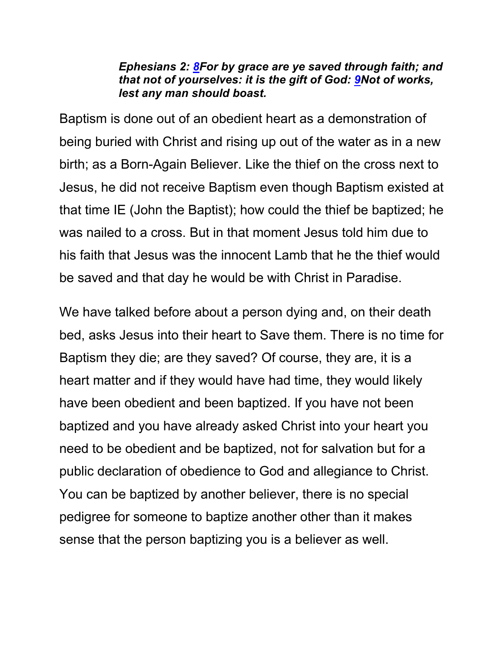#### *Ephesians 2: 8For by grace are ye saved through faith; and that not of yourselves: it is the gift of God: 9Not of works, lest any man should boast.*

Baptism is done out of an obedient heart as a demonstration of being buried with Christ and rising up out of the water as in a new birth; as a Born-Again Believer. Like the thief on the cross next to Jesus, he did not receive Baptism even though Baptism existed at that time IE (John the Baptist); how could the thief be baptized; he was nailed to a cross. But in that moment Jesus told him due to his faith that Jesus was the innocent Lamb that he the thief would be saved and that day he would be with Christ in Paradise.

We have talked before about a person dying and, on their death bed, asks Jesus into their heart to Save them. There is no time for Baptism they die; are they saved? Of course, they are, it is a heart matter and if they would have had time, they would likely have been obedient and been baptized. If you have not been baptized and you have already asked Christ into your heart you need to be obedient and be baptized, not for salvation but for a public declaration of obedience to God and allegiance to Christ. You can be baptized by another believer, there is no special pedigree for someone to baptize another other than it makes sense that the person baptizing you is a believer as well.